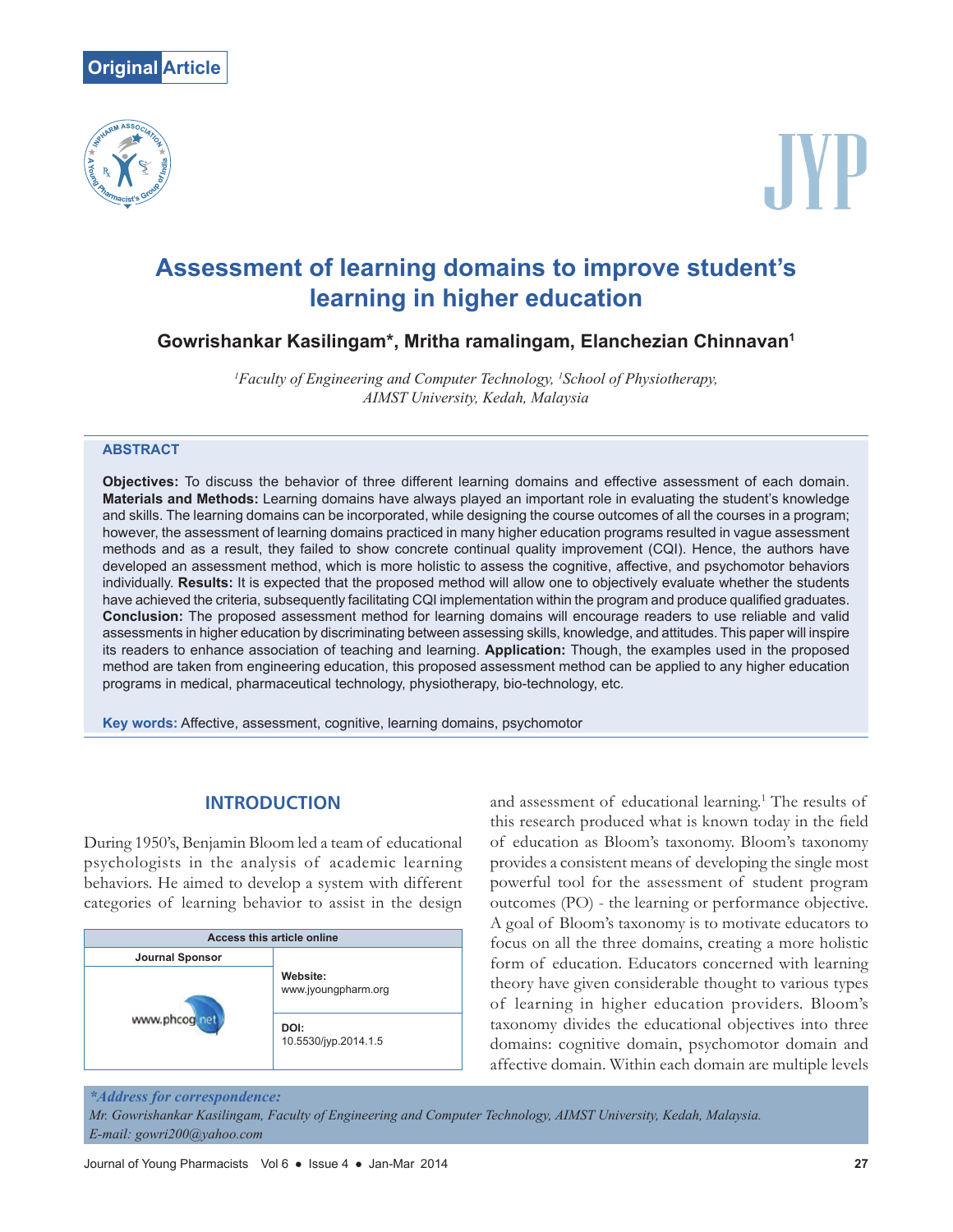



# **Assessment of learning domains to improve student's learning in higher education**

# **Gowrishankar Kasilingam\*, Mritha ramalingam, Elanchezian Chinnavan1**

*1 Faculty of Engineering and Computer Technology, 1 School of Physiotherapy, AIMST University, Kedah, Malaysia*

# **ABSTRACT**

**Objectives:** To discuss the behavior of three different learning domains and effective assessment of each domain. **Materials and Methods:** Learning domains have always played an important role in evaluating the student's knowledge and skills. The learning domains can be incorporated, while designing the course outcomes of all the courses in a program; however, the assessment of learning domains practiced in many higher education programs resulted in vague assessment methods and as a result, they failed to show concrete continual quality improvement (CQI). Hence, the authors have developed an assessment method, which is more holistic to assess the cognitive, affective, and psychomotor behaviors individually. **Results:** It is expected that the proposed method will allow one to objectively evaluate whether the students have achieved the criteria, subsequently facilitating CQI implementation within the program and produce qualified graduates. **Conclusion:** The proposed assessment method for learning domains will encourage readers to use reliable and valid assessments in higher education by discriminating between assessing skills, knowledge, and attitudes. This paper will inspire its readers to enhance association of teaching and learning. **Application:** Though, the examples used in the proposed method are taken from engineering education, this proposed assessment method can be applied to any higher education programs in medical, pharmaceutical technology, physiotherapy, bio-technology, etc.

**Key words:** Affective, assessment, cognitive, learning domains, psychomotor

# **INTRODUCTION**

During 1950's, Benjamin Bloom led a team of educational psychologists in the analysis of academic learning behaviors. He aimed to develop a system with different categories of learning behavior to assist in the design



and assessment of educational learning.<sup>1</sup> The results of this research produced what is known today in the field of education as Bloom's taxonomy. Bloom's taxonomy provides a consistent means of developing the single most powerful tool for the assessment of student program outcomes (PO) - the learning or performance objective. A goal of Bloom's taxonomy is to motivate educators to focus on all the three domains, creating a more holistic form of education. Educators concerned with learning theory have given considerable thought to various types of learning in higher education providers. Bloom's taxonomy divides the educational objectives into three domains: cognitive domain, psychomotor domain and affective domain. Within each domain are multiple levels

*\*Address for correspondence: Mr. Gowrishankar Kasilingam, Faculty of Engineering and Computer Technology, AIMST University, Kedah, Malaysia. E-mail: gowri200@yahoo.com*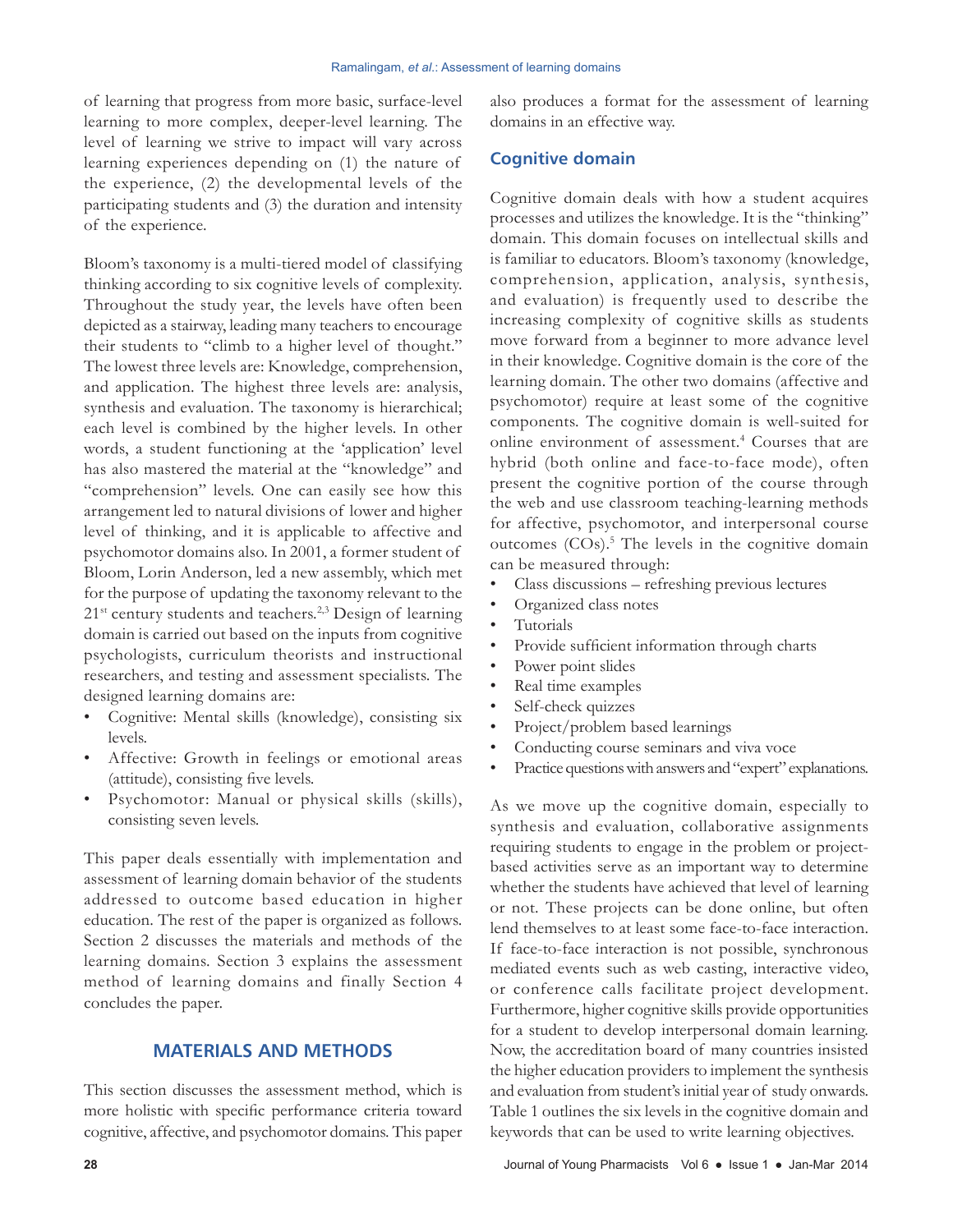of learning that progress from more basic, surface-level learning to more complex, deeper-level learning. The level of learning we strive to impact will vary across learning experiences depending on (1) the nature of the experience, (2) the developmental levels of the participating students and (3) the duration and intensity of the experience.

Bloom's taxonomy is a multi-tiered model of classifying thinking according to six cognitive levels of complexity. Throughout the study year, the levels have often been depicted as a stairway, leading many teachers to encourage their students to "climb to a higher level of thought." The lowest three levels are: Knowledge, comprehension, and application. The highest three levels are: analysis, synthesis and evaluation. The taxonomy is hierarchical; each level is combined by the higher levels. In other words, a student functioning at the 'application' level has also mastered the material at the "knowledge" and "comprehension" levels. One can easily see how this arrangement led to natural divisions of lower and higher level of thinking, and it is applicable to affective and psychomotor domains also. In 2001, a former student of Bloom, Lorin Anderson, led a new assembly, which met for the purpose of updating the taxonomy relevant to the  $21<sup>st</sup>$  century students and teachers.<sup>2,3</sup> Design of learning domain is carried out based on the inputs from cognitive psychologists, curriculum theorists and instructional researchers, and testing and assessment specialists. The designed learning domains are:

- Cognitive: Mental skills (knowledge), consisting six levels.
- Affective: Growth in feelings or emotional areas (attitude), consisting five levels.
- Psychomotor: Manual or physical skills (skills), consisting seven levels.

This paper deals essentially with implementation and assessment of learning domain behavior of the students addressed to outcome based education in higher education. The rest of the paper is organized as follows. Section 2 discusses the materials and methods of the learning domains. Section 3 explains the assessment method of learning domains and finally Section 4 concludes the paper.

# **MATERIALS AND METHODS**

This section discusses the assessment method, which is more holistic with specific performance criteria toward cognitive, affective, and psychomotor domains. This paper also produces a format for the assessment of learning domains in an effective way.

### **Cognitive domain**

Cognitive domain deals with how a student acquires processes and utilizes the knowledge. It is the "thinking" domain. This domain focuses on intellectual skills and is familiar to educators. Bloom's taxonomy (knowledge, comprehension, application, analysis, synthesis, and evaluation) is frequently used to describe the increasing complexity of cognitive skills as students move forward from a beginner to more advance level in their knowledge. Cognitive domain is the core of the learning domain. The other two domains (affective and psychomotor) require at least some of the cognitive components. The cognitive domain is well-suited for online environment of assessment.4 Courses that are hybrid (both online and face-to-face mode), often present the cognitive portion of the course through the web and use classroom teaching-learning methods for affective, psychomotor, and interpersonal course outcomes (COs).<sup>5</sup> The levels in the cognitive domain can be measured through:

- Class discussions refreshing previous lectures
- Organized class notes
- Tutorials
- Provide sufficient information through charts
- Power point slides
- Real time examples
- Self-check quizzes
- Project/problem based learnings
- Conducting course seminars and viva voce
- Practice questions with answers and "expert" explanations.

As we move up the cognitive domain, especially to synthesis and evaluation, collaborative assignments requiring students to engage in the problem or projectbased activities serve as an important way to determine whether the students have achieved that level of learning or not. These projects can be done online, but often lend themselves to at least some face-to-face interaction. If face-to-face interaction is not possible, synchronous mediated events such as web casting, interactive video, or conference calls facilitate project development. Furthermore, higher cognitive skills provide opportunities for a student to develop interpersonal domain learning. Now, the accreditation board of many countries insisted the higher education providers to implement the synthesis and evaluation from student's initial year of study onwards. Table 1 outlines the six levels in the cognitive domain and keywords that can be used to write learning objectives.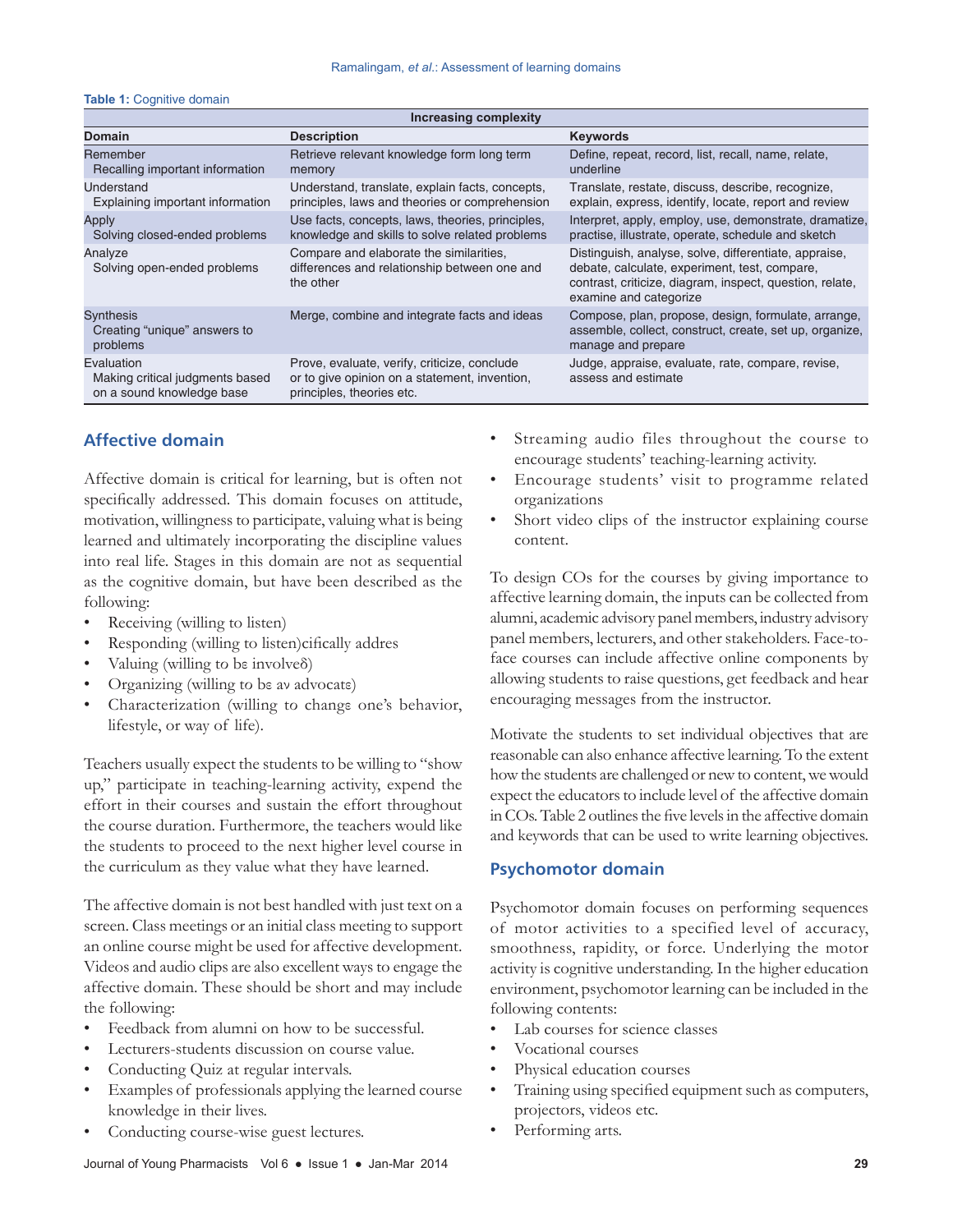#### **Table 1:** Cognitive domain

|                                                                            | <b>Increasing complexity</b>                                                                                               |                                                                                                                                                                                              |
|----------------------------------------------------------------------------|----------------------------------------------------------------------------------------------------------------------------|----------------------------------------------------------------------------------------------------------------------------------------------------------------------------------------------|
| Domain                                                                     | <b>Description</b>                                                                                                         | <b>Keywords</b>                                                                                                                                                                              |
| <b>Remember</b><br>Recalling important information                         | Retrieve relevant knowledge form long term<br>memory                                                                       | Define, repeat, record, list, recall, name, relate,<br>underline                                                                                                                             |
| Understand<br>Explaining important information                             | Understand, translate, explain facts, concepts,<br>principles, laws and theories or comprehension                          | Translate, restate, discuss, describe, recognize,<br>explain, express, identify, locate, report and review                                                                                   |
| <b>Apply</b><br>Solving closed-ended problems                              | Use facts, concepts, laws, theories, principles,<br>knowledge and skills to solve related problems                         | Interpret, apply, employ, use, demonstrate, dramatize,<br>practise, illustrate, operate, schedule and sketch                                                                                 |
| Analyze<br>Solving open-ended problems                                     | Compare and elaborate the similarities,<br>differences and relationship between one and<br>the other                       | Distinguish, analyse, solve, differentiate, appraise,<br>debate, calculate, experiment, test, compare,<br>contrast, criticize, diagram, inspect, question, relate,<br>examine and categorize |
| <b>Synthesis</b><br>Creating "unique" answers to<br>problems               | Merge, combine and integrate facts and ideas                                                                               | Compose, plan, propose, design, formulate, arrange,<br>assemble, collect, construct, create, set up, organize,<br>manage and prepare                                                         |
| Evaluation<br>Making critical judgments based<br>on a sound knowledge base | Prove, evaluate, verify, criticize, conclude<br>or to give opinion on a statement, invention,<br>principles, theories etc. | Judge, appraise, evaluate, rate, compare, revise,<br>assess and estimate                                                                                                                     |

# **Affective domain**

Affective domain is critical for learning, but is often not specifically addressed. This domain focuses on attitude, motivation, willingness to participate, valuing what is being learned and ultimately incorporating the discipline values into real life. Stages in this domain are not as sequential as the cognitive domain, but have been described as the following:

- Receiving (willing to listen)
- Responding (willing to listen)cifically addres
- Valuing (willing tο bε involveδ)
- Organizing (willing tο bε aν advocatε)
- Characterization (willing tο changε one's behavior, lifestyle, or way of life).

Teachers usually expect the students to be willing to "show up," participate in teaching-learning activity, expend the effort in their courses and sustain the effort throughout the course duration. Furthermore, the teachers would like the students to proceed to the next higher level course in the curriculum as they value what they have learned.

The affective domain is not best handled with just text on a screen. Class meetings or an initial class meeting to support an online course might be used for affective development. Videos and audio clips are also excellent ways to engage the affective domain. These should be short and may include the following:

- Feedback from alumni on how to be successful.
- Lecturers-students discussion on course value.
- Conducting Quiz at regular intervals.
- Examples of professionals applying the learned course knowledge in their lives.
- Conducting course-wise guest lectures.
- Streaming audio files throughout the course to encourage students' teaching-learning activity.
- Encourage students' visit to programme related organizations
- Short video clips of the instructor explaining course content.

To design COs for the courses by giving importance to affective learning domain, the inputs can be collected from alumni, academic advisory panel members, industry advisory panel members, lecturers, and other stakeholders. Face-toface courses can include affective online components by allowing students to raise questions, get feedback and hear encouraging messages from the instructor.

Motivate the students to set individual objectives that are reasonable can also enhance affective learning. To the extent how the students are challenged or new to content, we would expect the educators to include level of the affective domain in COs. Table 2 outlines the five levels in the affective domain and keywords that can be used to write learning objectives.

# **Psychomotor domain**

Psychomotor domain focuses on performing sequences of motor activities to a specified level of accuracy, smoothness, rapidity, or force. Underlying the motor activity is cognitive understanding. In the higher education environment, psychomotor learning can be included in the following contents:

- Lab courses for science classes
- Vocational courses
- Physical education courses
- Training using specified equipment such as computers, projectors, videos etc.
- Performing arts.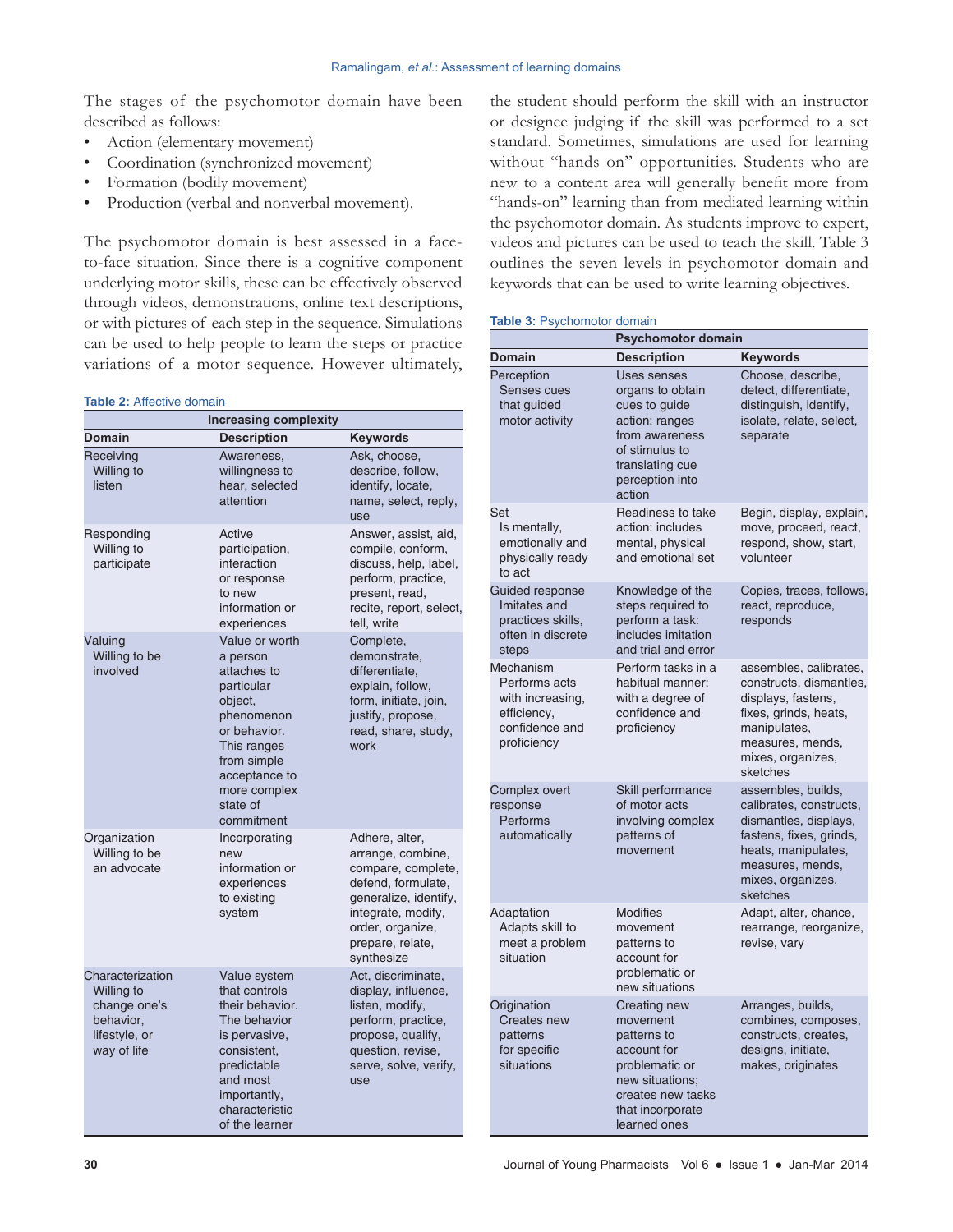The stages of the psychomotor domain have been described as follows:

- Action (elementary movement)
- Coordination (synchronized movement)
- Formation (bodily movement)
- Production (verbal and nonverbal movement).

The psychomotor domain is best assessed in a faceto-face situation. Since there is a cognitive component underlying motor skills, these can be effectively observed through videos, demonstrations, online text descriptions, or with pictures of each step in the sequence. Simulations can be used to help people to learn the steps or practice variations of a motor sequence. However ultimately,

#### **Table 2:** Affective domain

| <b>Increasing complexity</b>                                                                |                                                                                                                                                                                           |                                                                                                                                                                                      |  |
|---------------------------------------------------------------------------------------------|-------------------------------------------------------------------------------------------------------------------------------------------------------------------------------------------|--------------------------------------------------------------------------------------------------------------------------------------------------------------------------------------|--|
| <b>Domain</b>                                                                               | <b>Description</b>                                                                                                                                                                        | <b>Keywords</b>                                                                                                                                                                      |  |
| Receiving<br>Willing to<br>listen                                                           | Awareness,<br>willingness to<br>hear, selected<br>attention                                                                                                                               | Ask, choose,<br>describe, follow,<br>identify, locate,<br>name, select, reply,<br>use                                                                                                |  |
| Responding<br>Willing to<br>participate                                                     | Active<br>participation,<br>interaction<br>or response<br>to new<br>information or<br>experiences                                                                                         | Answer, assist, aid,<br>compile, conform,<br>discuss, help, label,<br>perform, practice,<br>present, read,<br>recite, report, select,<br>tell, write                                 |  |
| Valuing<br>Willing to be<br>involved                                                        | Value or worth<br>a person<br>attaches to<br>particular<br>object,<br>phenomenon<br>or behavior.<br>This ranges<br>from simple<br>acceptance to<br>more complex<br>state of<br>commitment | Complete,<br>demonstrate.<br>differentiate,<br>explain, follow,<br>form, initiate, join,<br>justify, propose,<br>read, share, study,<br>work                                         |  |
| Organization<br>Willing to be<br>an advocate                                                | Incorporating<br>new<br>information or<br>experiences<br>to existing<br>system                                                                                                            | Adhere, alter,<br>arrange, combine,<br>compare, complete,<br>defend, formulate,<br>generalize, identify,<br>integrate, modify,<br>order, organize,<br>prepare, relate,<br>synthesize |  |
| Characterization<br>Willing to<br>change one's<br>behavior,<br>lifestyle, or<br>way of life | Value system<br>that controls<br>their behavior.<br>The behavior<br>is pervasive,<br>consistent,<br>predictable<br>and most<br>importantly,<br>characteristic<br>of the learner           | Act, discriminate,<br>display, influence,<br>listen, modify,<br>perform, practice,<br>propose, qualify,<br>question, revise,<br>serve, solve, verify,<br>use                         |  |

the student should perform the skill with an instructor or designee judging if the skill was performed to a set standard. Sometimes, simulations are used for learning without "hands on" opportunities. Students who are new to a content area will generally benefit more from "hands-on" learning than from mediated learning within the psychomotor domain. As students improve to expert, videos and pictures can be used to teach the skill. Table 3 outlines the seven levels in psychomotor domain and keywords that can be used to write learning objectives.

#### **Table 3:** Psychomotor domain

|                                                                                                | <b>Psychomotor domain</b>                                                                                                                              |                                                                                                                                                                               |
|------------------------------------------------------------------------------------------------|--------------------------------------------------------------------------------------------------------------------------------------------------------|-------------------------------------------------------------------------------------------------------------------------------------------------------------------------------|
| Domain                                                                                         | <b>Description</b>                                                                                                                                     | <b>Keywords</b>                                                                                                                                                               |
| Perception<br><b>Senses cues</b><br>that guided<br>motor activity                              | Uses senses<br>organs to obtain<br>cues to guide<br>action: ranges<br>from awareness<br>of stimulus to<br>translating cue<br>perception into<br>action | Choose, describe,<br>detect, differentiate,<br>distinguish, identify,<br>isolate, relate, select,<br>separate                                                                 |
| Set<br>Is mentally,<br>emotionally and<br>physically ready<br>to act                           | Readiness to take<br>action: includes<br>mental, physical<br>and emotional set                                                                         | Begin, display, explain,<br>move, proceed, react,<br>respond, show, start,<br>volunteer                                                                                       |
| Guided response<br>Imitates and<br>practices skills,<br>often in discrete<br>steps             | Knowledge of the<br>steps required to<br>perform a task:<br>includes imitation<br>and trial and error                                                  | Copies, traces, follows,<br>react, reproduce,<br>responds                                                                                                                     |
| Mechanism<br>Performs acts<br>with increasing,<br>efficiency,<br>confidence and<br>proficiency | Perform tasks in a<br>habitual manner:<br>with a degree of<br>confidence and<br>proficiency                                                            | assembles, calibrates,<br>constructs, dismantles,<br>displays, fastens,<br>fixes, grinds, heats,<br>manipulates,<br>measures, mends,<br>mixes, organizes,<br>sketches         |
| Complex overt<br>response<br>Performs<br>automatically                                         | Skill performance<br>of motor acts<br>involving complex<br>patterns of<br>movement                                                                     | assembles, builds,<br>calibrates, constructs,<br>dismantles, displays,<br>fastens, fixes, grinds,<br>heats, manipulates,<br>measures, mends,<br>mixes, organizes,<br>sketches |
| Adaptation<br>Adapts skill to<br>meet a problem<br>situation                                   | Modifies<br>movement<br>patterns to<br>account for<br>problematic or<br>new situations                                                                 | Adapt, alter, chance,<br>rearrange, reorganize,<br>revise, vary                                                                                                               |
| Origination<br>Creates new<br>patterns<br>for specific<br>situations                           | Creating new<br>movement<br>patterns to<br>account for<br>problematic or<br>new situations;<br>creates new tasks<br>that incorporate<br>learned ones   | Arranges, builds,<br>combines, composes<br>constructs, creates,<br>designs, initiate,<br>makes, originates                                                                    |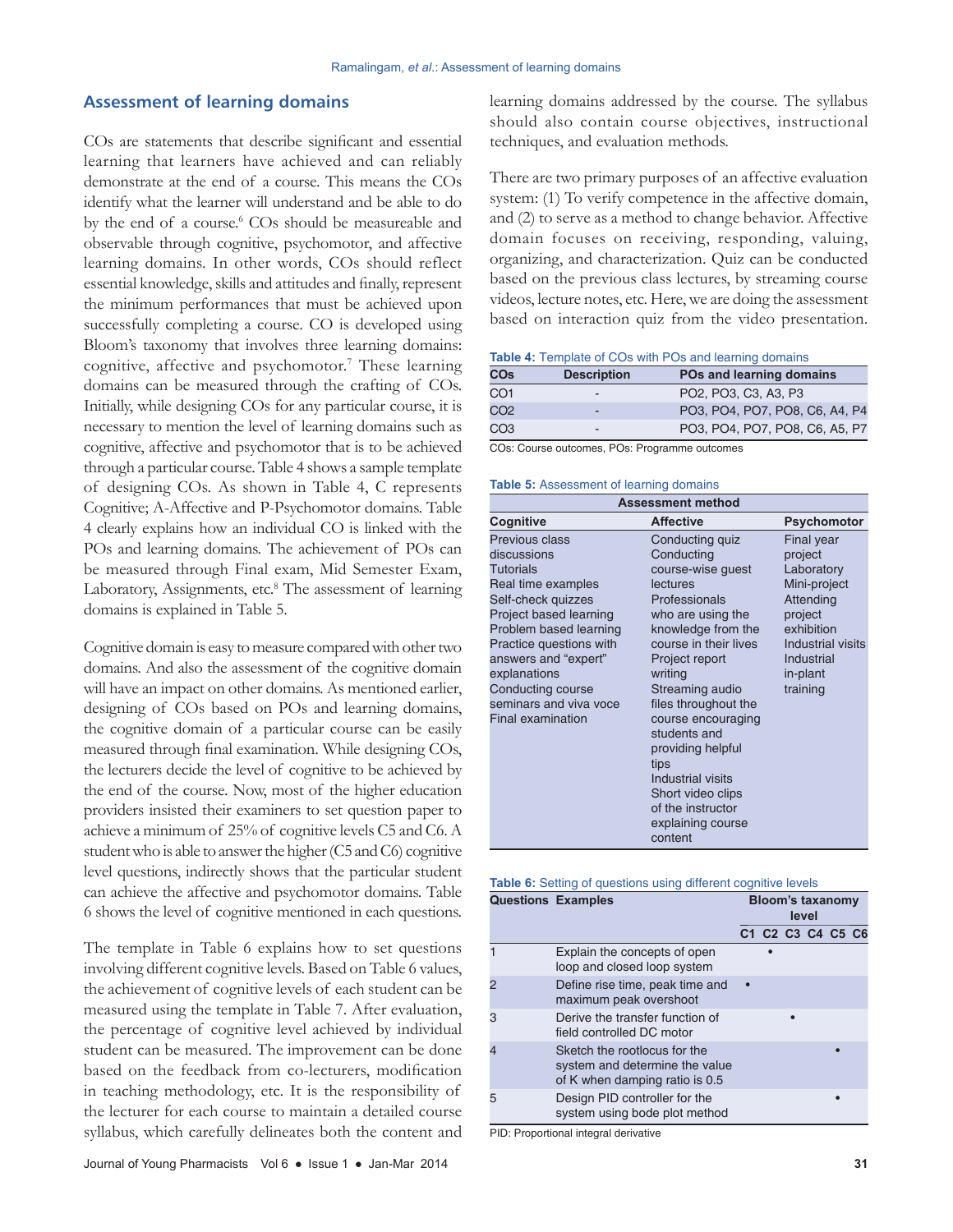# **Assessment of learning domains**

COs are statements that describe significant and essential learning that learners have achieved and can reliably demonstrate at the end of a course. This means the COs identify what the learner will understand and be able to do by the end of a course.<sup>6</sup> COs should be measureable and observable through cognitive, psychomotor, and affective learning domains. In other words, COs should reflect essential knowledge, skills and attitudes and finally, represent the minimum performances that must be achieved upon successfully completing a course. CO is developed using Bloom's taxonomy that involves three learning domains: cognitive, affective and psychomotor.<sup>7</sup> These learning domains can be measured through the crafting of COs. Initially, while designing COs for any particular course, it is necessary to mention the level of learning domains such as cognitive, affective and psychomotor that is to be achieved through a particular course. Table 4 shows a sample template of designing COs. As shown in Table 4, C represents Cognitive; A-Affective and P-Psychomotor domains. Table 4 clearly explains how an individual CO is linked with the POs and learning domains. The achievement of POs can be measured through Final exam, Mid Semester Exam, Laboratory, Assignments, etc.<sup>8</sup> The assessment of learning domains is explained in Table 5.

Cognitive domain is easy to measure compared with other two domains. And also the assessment of the cognitive domain will have an impact on other domains. As mentioned earlier, designing of COs based on POs and learning domains, the cognitive domain of a particular course can be easily measured through final examination. While designing COs, the lecturers decide the level of cognitive to be achieved by the end of the course. Now, most of the higher education providers insisted their examiners to set question paper to achieve a minimum of 25% of cognitive levels C5 and C6. A student who is able to answer the higher (C5 and C6) cognitive level questions, indirectly shows that the particular student can achieve the affective and psychomotor domains. Table 6 shows the level of cognitive mentioned in each questions.

The template in Table 6 explains how to set questions involving different cognitive levels. Based on Table 6 values, the achievement of cognitive levels of each student can be measured using the template in Table 7. After evaluation, the percentage of cognitive level achieved by individual student can be measured. The improvement can be done based on the feedback from co-lecturers, modification in teaching methodology, etc. It is the responsibility of the lecturer for each course to maintain a detailed course syllabus, which carefully delineates both the content and learning domains addressed by the course. The syllabus should also contain course objectives, instructional techniques, and evaluation methods.

There are two primary purposes of an affective evaluation system: (1) To verify competence in the affective domain, and (2) to serve as a method to change behavior. Affective domain focuses on receiving, responding, valuing, organizing, and characterization. Quiz can be conducted based on the previous class lectures, by streaming course videos, lecture notes, etc. Here, we are doing the assessment based on interaction quiz from the video presentation.

| <b>Table 4: Template of COs with POs and learning domains</b> |  |
|---------------------------------------------------------------|--|
|---------------------------------------------------------------|--|

| <b>COs</b>      | <b>Description</b> | POs and learning domains                                                             |
|-----------------|--------------------|--------------------------------------------------------------------------------------|
| CO <sub>1</sub> | -                  | PO <sub>2</sub> , PO <sub>3</sub> , C <sub>3</sub> , A <sub>3</sub> , P <sub>3</sub> |
| CO <sub>2</sub> | -                  | PO3, PO4, PO7, PO8, C6, A4, P4                                                       |
| CO <sub>3</sub> | -                  | PO3, PO4, PO7, PO8, C6, A5, P7                                                       |

COs: Course outcomes, POs: Programme outcomes

#### **Table 5:** Assessment of learning domains

|                                                                                                                                                                                                                                                                                                 | <b>Assessment method</b>                                                                                                                                                                                                                                                                                                                                                                      |                                                                                                                                                      |
|-------------------------------------------------------------------------------------------------------------------------------------------------------------------------------------------------------------------------------------------------------------------------------------------------|-----------------------------------------------------------------------------------------------------------------------------------------------------------------------------------------------------------------------------------------------------------------------------------------------------------------------------------------------------------------------------------------------|------------------------------------------------------------------------------------------------------------------------------------------------------|
| Cognitive                                                                                                                                                                                                                                                                                       | <b>Affective</b>                                                                                                                                                                                                                                                                                                                                                                              | <b>Psychomotor</b>                                                                                                                                   |
| Previous class<br>discussions<br><b>Tutorials</b><br>Real time examples<br>Self-check quizzes<br>Project based learning<br>Problem based learning<br>Practice questions with<br>answers and "expert"<br>explanations<br>Conducting course<br>seminars and viva voce<br><b>Final examination</b> | Conducting quiz<br>Conducting<br>course-wise guest<br>lectures<br>Professionals<br>who are using the<br>knowledge from the<br>course in their lives<br>Project report<br>writing<br>Streaming audio<br>files throughout the<br>course encouraging<br>students and<br>providing helpful<br>tips<br>Industrial visits<br>Short video clips<br>of the instructor<br>explaining course<br>content | Final year<br>project<br>Laboratory<br>Mini-project<br>Attending<br>project<br>exhibition<br>Industrial visits<br>Industrial<br>in-plant<br>training |

| <b>Table 6:</b> Setting of questions using different cognitive levels |  |  |  |  |  |  |
|-----------------------------------------------------------------------|--|--|--|--|--|--|
|-----------------------------------------------------------------------|--|--|--|--|--|--|

|   | <b>Questions Examples</b>                                                                        |  | level | <b>Bloom's taxanomy</b> |  |
|---|--------------------------------------------------------------------------------------------------|--|-------|-------------------------|--|
|   |                                                                                                  |  |       | C1 C2 C3 C4 C5 C6       |  |
|   | Explain the concepts of open<br>loop and closed loop system                                      |  |       |                         |  |
|   | Define rise time, peak time and<br>maximum peak overshoot                                        |  |       |                         |  |
| з | Derive the transfer function of<br>field controlled DC motor                                     |  |       |                         |  |
|   | Sketch the rootlocus for the<br>system and determine the value<br>of K when damping ratio is 0.5 |  |       |                         |  |
| 5 | Design PID controller for the<br>system using bode plot method                                   |  |       |                         |  |

PID: Proportional integral derivative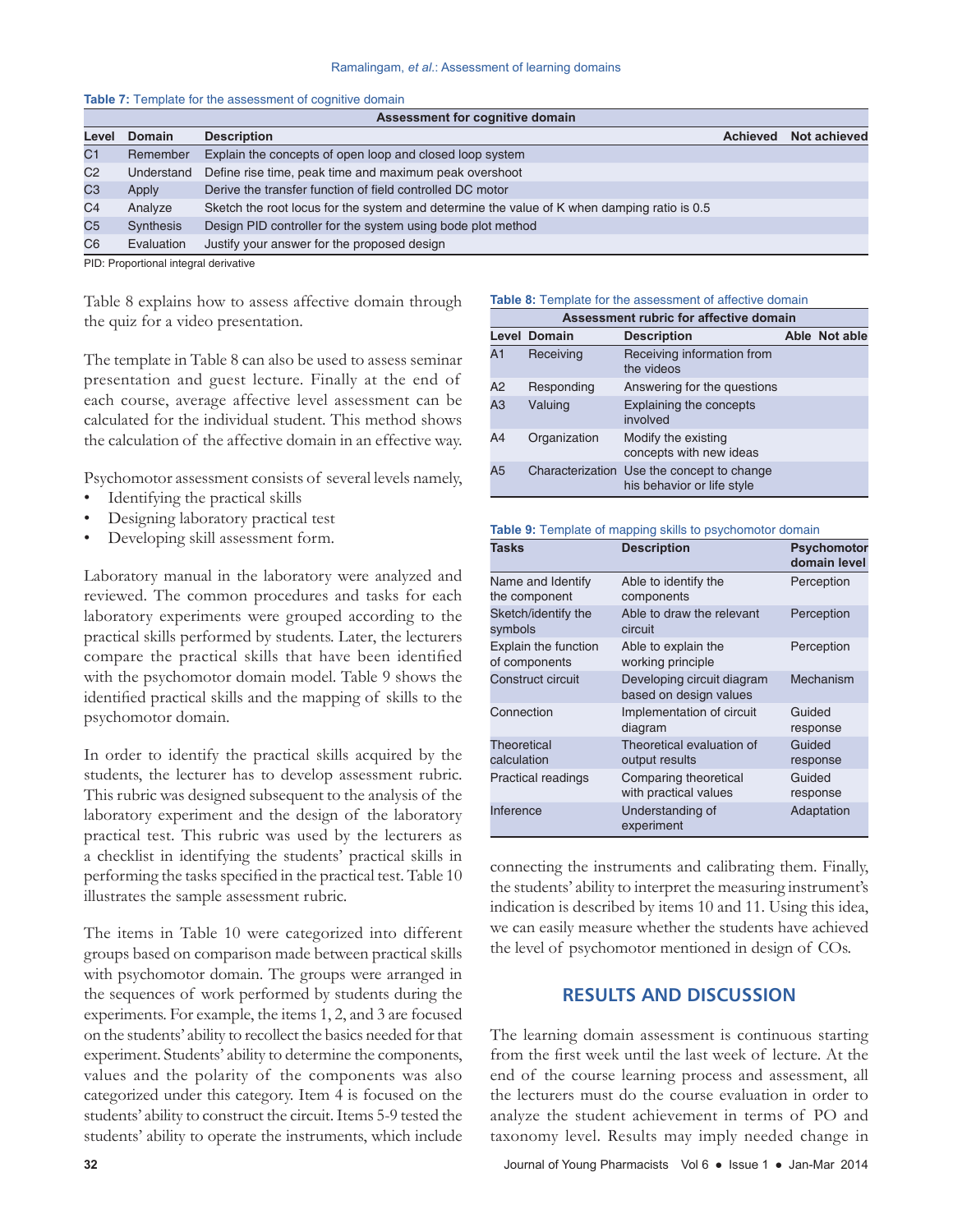|                | Assessment for cognitive domain |                                                                                             |          |              |
|----------------|---------------------------------|---------------------------------------------------------------------------------------------|----------|--------------|
| Level          | <b>Domain</b>                   | <b>Description</b>                                                                          | Achieved | Not achieved |
| C <sub>1</sub> | Remember                        | Explain the concepts of open loop and closed loop system                                    |          |              |
| C <sub>2</sub> | Understand                      | Define rise time, peak time and maximum peak overshoot                                      |          |              |
| C <sub>3</sub> | Apply                           | Derive the transfer function of field controlled DC motor                                   |          |              |
| C <sub>4</sub> | Analyze                         | Sketch the root locus for the system and determine the value of K when damping ratio is 0.5 |          |              |
| C <sub>5</sub> | <b>Synthesis</b>                | Design PID controller for the system using bode plot method                                 |          |              |
| C <sub>6</sub> | Evaluation                      | Justify your answer for the proposed design                                                 |          |              |

#### **Table 7:** Template for the assessment of cognitive domain

PID: Proportional integral derivative

Table 8 explains how to assess affective domain through the quiz for a video presentation.

The template in Table 8 can also be used to assess seminar presentation and guest lecture. Finally at the end of each course, average affective level assessment can be calculated for the individual student. This method shows the calculation of the affective domain in an effective way.

Psychomotor assessment consists of several levels namely,

- Identifying the practical skills
- Designing laboratory practical test
- Developing skill assessment form.

Laboratory manual in the laboratory were analyzed and reviewed. The common procedures and tasks for each laboratory experiments were grouped according to the practical skills performed by students. Later, the lecturers compare the practical skills that have been identified with the psychomotor domain model. Table 9 shows the identified practical skills and the mapping of skills to the psychomotor domain.

In order to identify the practical skills acquired by the students, the lecturer has to develop assessment rubric. This rubric was designed subsequent to the analysis of the laboratory experiment and the design of the laboratory practical test. This rubric was used by the lecturers as a checklist in identifying the students' practical skills in performing the tasks specified in the practical test. Table 10 illustrates the sample assessment rubric.

The items in Table 10 were categorized into different groups based on comparison made between practical skills with psychomotor domain. The groups were arranged in the sequences of work performed by students during the experiments. For example, the items 1, 2, and 3 are focused on the students' ability to recollect the basics needed for that experiment. Students' ability to determine the components, values and the polarity of the components was also categorized under this category. Item 4 is focused on the students' ability to construct the circuit. Items 5-9 tested the students' ability to operate the instruments, which include

#### **Table 8:** Template for the assessment of affective domain

|                |                     | Assessment rubric for affective domain                                   |               |
|----------------|---------------------|--------------------------------------------------------------------------|---------------|
|                | <b>Level Domain</b> | <b>Description</b>                                                       | Able Not able |
| A <sub>1</sub> | Receiving           | Receiving information from<br>the videos                                 |               |
| A2             | Responding          | Answering for the questions                                              |               |
| A3             | Valuing             | <b>Explaining the concepts</b><br>involved                               |               |
| A <sub>4</sub> | Organization        | Modify the existing<br>concepts with new ideas                           |               |
| A <sub>5</sub> |                     | Characterization Use the concept to change<br>his behavior or life style |               |

**Table 9:** Template of mapping skills to psychomotor domain

| Tasks                                        | <b>Description</b>                                   | <b>Psychomotor</b><br>domain level |
|----------------------------------------------|------------------------------------------------------|------------------------------------|
| Name and Identify<br>the component           | Able to identify the<br>components                   | Perception                         |
| Sketch/identify the<br>symbols               | Able to draw the relevant<br>circuit                 | Perception                         |
| <b>Explain the function</b><br>of components | Able to explain the<br>working principle             | Perception                         |
| Construct circuit                            | Developing circuit diagram<br>based on design values | Mechanism                          |
| Connection                                   | Implementation of circuit<br>diagram                 | Guided<br>response                 |
| Theoretical<br>calculation                   | Theoretical evaluation of<br>output results          | Guided<br>response                 |
| <b>Practical readings</b>                    | Comparing theoretical<br>with practical values       | Guided<br>response                 |
| Inference                                    | Understanding of<br>experiment                       | Adaptation                         |

connecting the instruments and calibrating them. Finally, the students' ability to interpret the measuring instrument's indication is described by items 10 and 11. Using this idea, we can easily measure whether the students have achieved the level of psychomotor mentioned in design of COs.

# **RESULTS AND DISCUSSION**

The learning domain assessment is continuous starting from the first week until the last week of lecture. At the end of the course learning process and assessment, all the lecturers must do the course evaluation in order to analyze the student achievement in terms of PO and taxonomy level. Results may imply needed change in